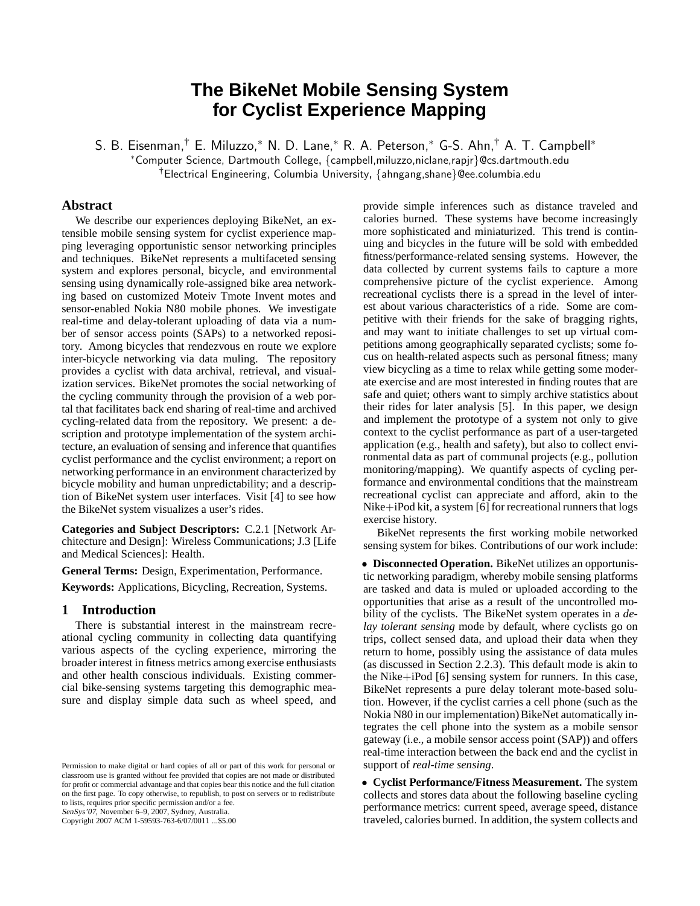# **The BikeNet Mobile Sensing System for Cyclist Experience Mapping**

S. B. Eisenman,† E. Miluzzo,<sup>∗</sup> N. D. Lane,<sup>∗</sup> R. A. Peterson,<sup>∗</sup> G-S. Ahn,† A. T. Campbell<sup>∗</sup> <sup>∗</sup>Computer Science, Dartmouth College, {campbell,miluzzo,niclane,rapjr}@cs.dartmouth.edu †Electrical Engineering, Columbia University, {ahngang,shane}@ee.columbia.edu

# **Abstract**

We describe our experiences deploying BikeNet, an extensible mobile sensing system for cyclist experience mapping leveraging opportunistic sensor networking principles and techniques. BikeNet represents a multifaceted sensing system and explores personal, bicycle, and environmental sensing using dynamically role-assigned bike area networking based on customized Moteiv Tmote Invent motes and sensor-enabled Nokia N80 mobile phones. We investigate real-time and delay-tolerant uploading of data via a number of sensor access points (SAPs) to a networked repository. Among bicycles that rendezvous en route we explore inter-bicycle networking via data muling. The repository provides a cyclist with data archival, retrieval, and visualization services. BikeNet promotes the social networking of the cycling community through the provision of a web portal that facilitates back end sharing of real-time and archived cycling-related data from the repository. We present: a description and prototype implementation of the system architecture, an evaluation of sensing and inference that quantifies cyclist performance and the cyclist environment; a report on networking performance in an environment characterized by bicycle mobility and human unpredictability; and a description of BikeNet system user interfaces. Visit [4] to see how the BikeNet system visualizes a user's rides.

**Categories and Subject Descriptors:** C.2.1 [Network Architecture and Design]: Wireless Communications; J.3 [Life and Medical Sciences]: Health.

**General Terms:** Design, Experimentation, Performance.

**Keywords:** Applications, Bicycling, Recreation, Systems.

# **1 Introduction**

There is substantial interest in the mainstream recreational cycling community in collecting data quantifying various aspects of the cycling experience, mirroring the broader interest in fitness metrics among exercise enthusiasts and other health conscious individuals. Existing commercial bike-sensing systems targeting this demographic measure and display simple data such as wheel speed, and

SenSys'07, November 6–9, 2007, Sydney, Australia.

Copyright 2007 ACM 1-59593-763-6/07/0011 ...\$5.00

provide simple inferences such as distance traveled and calories burned. These systems have become increasingly more sophisticated and miniaturized. This trend is continuing and bicycles in the future will be sold with embedded fitness/performance-related sensing systems. However, the data collected by current systems fails to capture a more comprehensive picture of the cyclist experience. Among recreational cyclists there is a spread in the level of interest about various characteristics of a ride. Some are competitive with their friends for the sake of bragging rights, and may want to initiate challenges to set up virtual competitions among geographically separated cyclists; some focus on health-related aspects such as personal fitness; many view bicycling as a time to relax while getting some moderate exercise and are most interested in finding routes that are safe and quiet; others want to simply archive statistics about their rides for later analysis [5]. In this paper, we design and implement the prototype of a system not only to give context to the cyclist performance as part of a user-targeted application (e.g., health and safety), but also to collect environmental data as part of communal projects (e.g., pollution monitoring/mapping). We quantify aspects of cycling performance and environmental conditions that the mainstream recreational cyclist can appreciate and afford, akin to the Nike+iPod kit, a system [6] for recreational runners that logs exercise history.

BikeNet represents the first working mobile networked sensing system for bikes. Contributions of our work include:

• **Disconnected Operation.** BikeNet utilizes an opportunistic networking paradigm, whereby mobile sensing platforms are tasked and data is muled or uploaded according to the opportunities that arise as a result of the uncontrolled mobility of the cyclists. The BikeNet system operates in a *delay tolerant sensing* mode by default, where cyclists go on trips, collect sensed data, and upload their data when they return to home, possibly using the assistance of data mules (as discussed in Section 2.2.3). This default mode is akin to the Nike+iPod [6] sensing system for runners. In this case, BikeNet represents a pure delay tolerant mote-based solution. However, if the cyclist carries a cell phone (such as the Nokia N80 in our implementation) BikeNet automatically integrates the cell phone into the system as a mobile sensor gateway (i.e., a mobile sensor access point (SAP)) and offers real-time interaction between the back end and the cyclist in support of *real-time sensing*.

• **Cyclist Performance/Fitness Measurement.** The system collects and stores data about the following baseline cycling performance metrics: current speed, average speed, distance traveled, calories burned. In addition, the system collects and

Permission to make digital or hard copies of all or part of this work for personal or classroom use is granted without fee provided that copies are not made or distributed for profit or commercial advantage and that copies bear this notice and the full citation on the first page. To copy otherwise, to republish, to post on servers or to redistribute to lists, requires prior specific permission and/or a fee.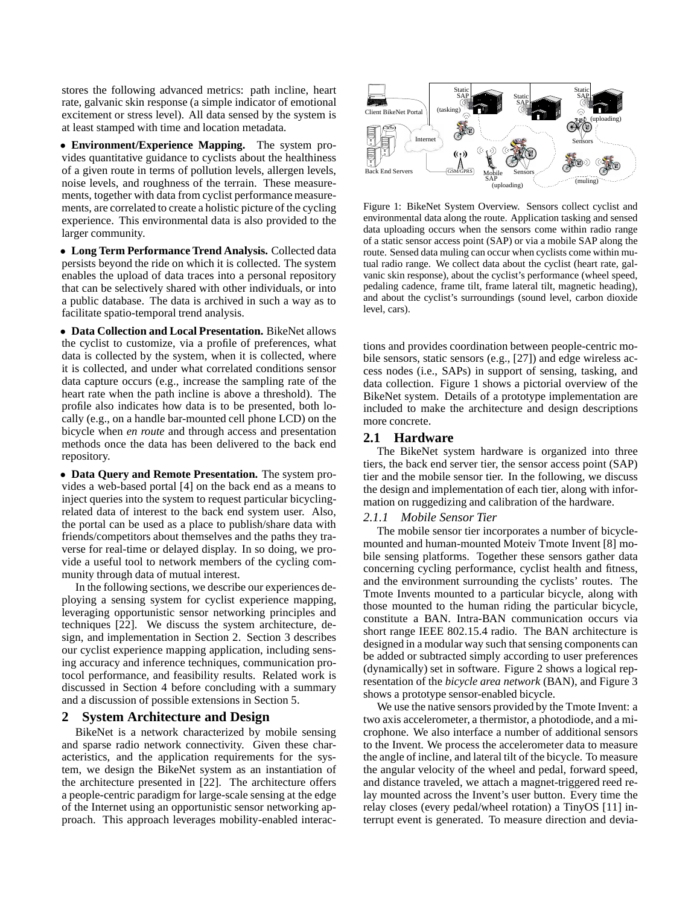stores the following advanced metrics: path incline, heart rate, galvanic skin response (a simple indicator of emotional excitement or stress level). All data sensed by the system is at least stamped with time and location metadata.

• **Environment/Experience Mapping.** The system provides quantitative guidance to cyclists about the healthiness of a given route in terms of pollution levels, allergen levels, noise levels, and roughness of the terrain. These measurements, together with data from cyclist performance measurements, are correlated to create a holistic picture of the cycling experience. This environmental data is also provided to the larger community.

• **Long Term Performance Trend Analysis.** Collected data persists beyond the ride on which it is collected. The system enables the upload of data traces into a personal repository that can be selectively shared with other individuals, or into a public database. The data is archived in such a way as to facilitate spatio-temporal trend analysis.

• **Data Collection and Local Presentation.** BikeNet allows the cyclist to customize, via a profile of preferences, what data is collected by the system, when it is collected, where it is collected, and under what correlated conditions sensor data capture occurs (e.g., increase the sampling rate of the heart rate when the path incline is above a threshold). The profile also indicates how data is to be presented, both locally (e.g., on a handle bar-mounted cell phone LCD) on the bicycle when *en route* and through access and presentation methods once the data has been delivered to the back end repository.

• **Data Query and Remote Presentation.** The system provides a web-based portal [4] on the back end as a means to inject queries into the system to request particular bicyclingrelated data of interest to the back end system user. Also, the portal can be used as a place to publish/share data with friends/competitors about themselves and the paths they traverse for real-time or delayed display. In so doing, we provide a useful tool to network members of the cycling community through data of mutual interest.

In the following sections, we describe our experiences deploying a sensing system for cyclist experience mapping, leveraging opportunistic sensor networking principles and techniques [22]. We discuss the system architecture, design, and implementation in Section 2. Section 3 describes our cyclist experience mapping application, including sensing accuracy and inference techniques, communication protocol performance, and feasibility results. Related work is discussed in Section 4 before concluding with a summary and a discussion of possible extensions in Section 5.

# **2 System Architecture and Design**

BikeNet is a network characterized by mobile sensing and sparse radio network connectivity. Given these characteristics, and the application requirements for the system, we design the BikeNet system as an instantiation of the architecture presented in [22]. The architecture offers a people-centric paradigm for large-scale sensing at the edge of the Internet using an opportunistic sensor networking approach. This approach leverages mobility-enabled interac-



Figure 1: BikeNet System Overview. Sensors collect cyclist and environmental data along the route. Application tasking and sensed data uploading occurs when the sensors come within radio range of a static sensor access point (SAP) or via a mobile SAP along the route. Sensed data muling can occur when cyclists come within mutual radio range. We collect data about the cyclist (heart rate, galvanic skin response), about the cyclist's performance (wheel speed, pedaling cadence, frame tilt, frame lateral tilt, magnetic heading), and about the cyclist's surroundings (sound level, carbon dioxide level, cars).

tions and provides coordination between people-centric mobile sensors, static sensors (e.g., [27]) and edge wireless access nodes (i.e., SAPs) in support of sensing, tasking, and data collection. Figure 1 shows a pictorial overview of the BikeNet system. Details of a prototype implementation are included to make the architecture and design descriptions more concrete.

# **2.1 Hardware**

The BikeNet system hardware is organized into three tiers, the back end server tier, the sensor access point (SAP) tier and the mobile sensor tier. In the following, we discuss the design and implementation of each tier, along with information on ruggedizing and calibration of the hardware.

#### *2.1.1 Mobile Sensor Tier*

The mobile sensor tier incorporates a number of bicyclemounted and human-mounted Moteiv Tmote Invent [8] mobile sensing platforms. Together these sensors gather data concerning cycling performance, cyclist health and fitness, and the environment surrounding the cyclists' routes. The Tmote Invents mounted to a particular bicycle, along with those mounted to the human riding the particular bicycle, constitute a BAN. Intra-BAN communication occurs via short range IEEE 802.15.4 radio. The BAN architecture is designed in a modular way such that sensing components can be added or subtracted simply according to user preferences (dynamically) set in software. Figure 2 shows a logical representation of the *bicycle area network* (BAN), and Figure 3 shows a prototype sensor-enabled bicycle.

We use the native sensors provided by the Tmote Invent: a two axis accelerometer, a thermistor, a photodiode, and a microphone. We also interface a number of additional sensors to the Invent. We process the accelerometer data to measure the angle of incline, and lateral tilt of the bicycle. To measure the angular velocity of the wheel and pedal, forward speed, and distance traveled, we attach a magnet-triggered reed relay mounted across the Invent's user button. Every time the relay closes (every pedal/wheel rotation) a TinyOS [11] interrupt event is generated. To measure direction and devia-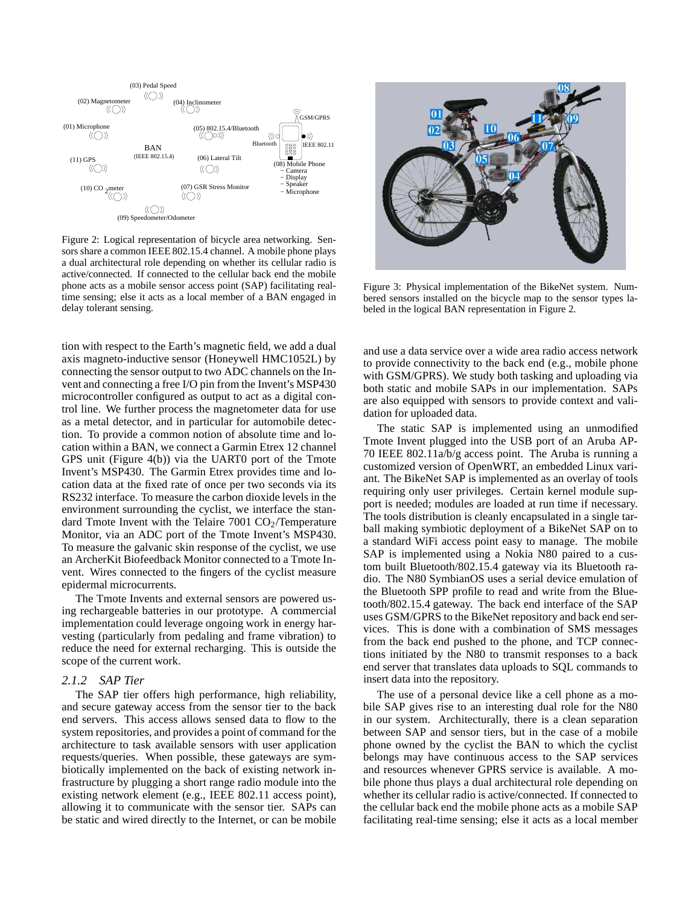

Figure 2: Logical representation of bicycle area networking. Sensors share a common IEEE 802.15.4 channel. A mobile phone plays a dual architectural role depending on whether its cellular radio is active/connected. If connected to the cellular back end the mobile phone acts as a mobile sensor access point (SAP) facilitating realtime sensing; else it acts as a local member of a BAN engaged in delay tolerant sensing.

tion with respect to the Earth's magnetic field, we add a dual axis magneto-inductive sensor (Honeywell HMC1052L) by connecting the sensor output to two ADC channels on the Invent and connecting a free I/O pin from the Invent's MSP430 microcontroller configured as output to act as a digital control line. We further process the magnetometer data for use as a metal detector, and in particular for automobile detection. To provide a common notion of absolute time and location within a BAN, we connect a Garmin Etrex 12 channel GPS unit (Figure 4(b)) via the UART0 port of the Tmote Invent's MSP430. The Garmin Etrex provides time and location data at the fixed rate of once per two seconds via its RS232 interface. To measure the carbon dioxide levels in the environment surrounding the cyclist, we interface the standard Tmote Invent with the Telaire  $7001 \text{ CO}_2$ /Temperature Monitor, via an ADC port of the Tmote Invent's MSP430. To measure the galvanic skin response of the cyclist, we use an ArcherKit Biofeedback Monitor connected to a Tmote Invent. Wires connected to the fingers of the cyclist measure epidermal microcurrents.

The Tmote Invents and external sensors are powered using rechargeable batteries in our prototype. A commercial implementation could leverage ongoing work in energy harvesting (particularly from pedaling and frame vibration) to reduce the need for external recharging. This is outside the scope of the current work.

# *2.1.2 SAP Tier*

The SAP tier offers high performance, high reliability, and secure gateway access from the sensor tier to the back end servers. This access allows sensed data to flow to the system repositories, and provides a point of command for the architecture to task available sensors with user application requests/queries. When possible, these gateways are symbiotically implemented on the back of existing network infrastructure by plugging a short range radio module into the existing network element (e.g., IEEE 802.11 access point), allowing it to communicate with the sensor tier. SAPs can be static and wired directly to the Internet, or can be mobile



Figure 3: Physical implementation of the BikeNet system. Numbered sensors installed on the bicycle map to the sensor types labeled in the logical BAN representation in Figure 2.

and use a data service over a wide area radio access network to provide connectivity to the back end (e.g., mobile phone with GSM/GPRS). We study both tasking and uploading via both static and mobile SAPs in our implementation. SAPs are also equipped with sensors to provide context and validation for uploaded data.

The static SAP is implemented using an unmodified Tmote Invent plugged into the USB port of an Aruba AP-70 IEEE 802.11a/b/g access point. The Aruba is running a customized version of OpenWRT, an embedded Linux variant. The BikeNet SAP is implemented as an overlay of tools requiring only user privileges. Certain kernel module support is needed; modules are loaded at run time if necessary. The tools distribution is cleanly encapsulated in a single tarball making symbiotic deployment of a BikeNet SAP on to a standard WiFi access point easy to manage. The mobile SAP is implemented using a Nokia N80 paired to a custom built Bluetooth/802.15.4 gateway via its Bluetooth radio. The N80 SymbianOS uses a serial device emulation of the Bluetooth SPP profile to read and write from the Bluetooth/802.15.4 gateway. The back end interface of the SAP uses GSM/GPRS to the BikeNet repository and back end services. This is done with a combination of SMS messages from the back end pushed to the phone, and TCP connections initiated by the N80 to transmit responses to a back end server that translates data uploads to SQL commands to insert data into the repository.

The use of a personal device like a cell phone as a mobile SAP gives rise to an interesting dual role for the N80 in our system. Architecturally, there is a clean separation between SAP and sensor tiers, but in the case of a mobile phone owned by the cyclist the BAN to which the cyclist belongs may have continuous access to the SAP services and resources whenever GPRS service is available. A mobile phone thus plays a dual architectural role depending on whether its cellular radio is active/connected. If connected to the cellular back end the mobile phone acts as a mobile SAP facilitating real-time sensing; else it acts as a local member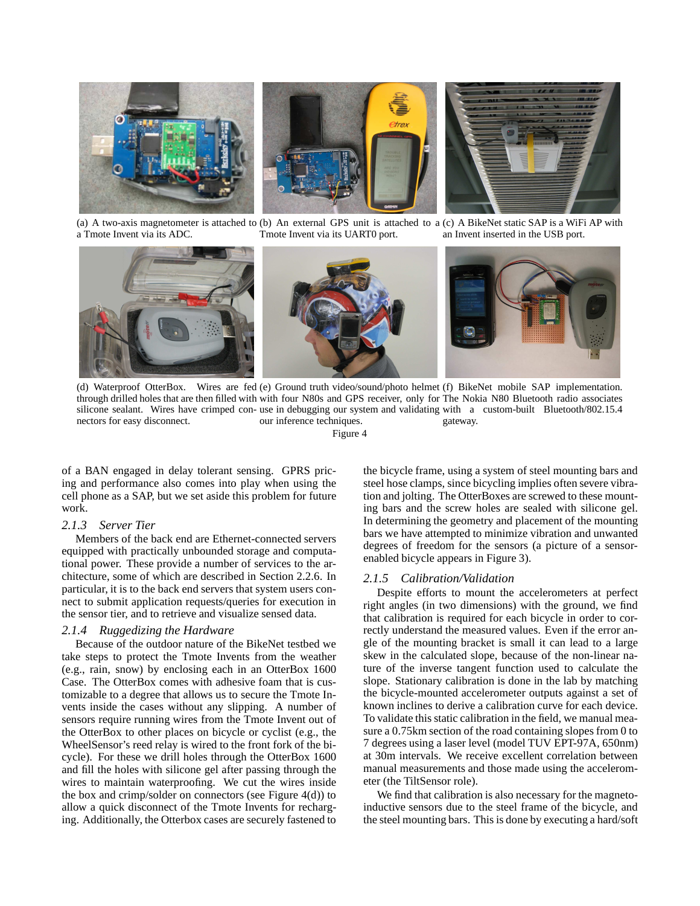

(a) A two-axis magnetometer is attached to (b) An external GPS unit is attached to a (c) A BikeNet static SAP is a WiFi AP with a Tmote Invent via its ADC. Tmote Invent via its UART0 port. an Invent inserted in the USB port.



(d) Waterproof OtterBox. Wires are fed (e) Ground truth video/sound/photo helmet (f) BikeNet mobile SAP implementation. through drilled holes that are then filled with with four N80s and GPS receiver, only for The Nokia N80 Bluetooth radio associates silicone sealant. Wires have crimped con- use in debugging our system and validating with a custom-built Bluetooth/802.15.4 nectors for easy disconnect. our inference techniques. gateway. Figure 4

of a BAN engaged in delay tolerant sensing. GPRS pricing and performance also comes into play when using the cell phone as a SAP, but we set aside this problem for future work.

#### *2.1.3 Server Tier*

Members of the back end are Ethernet-connected servers equipped with practically unbounded storage and computational power. These provide a number of services to the architecture, some of which are described in Section 2.2.6. In particular, it is to the back end servers that system users connect to submit application requests/queries for execution in the sensor tier, and to retrieve and visualize sensed data.

#### *2.1.4 Ruggedizing the Hardware*

Because of the outdoor nature of the BikeNet testbed we take steps to protect the Tmote Invents from the weather (e.g., rain, snow) by enclosing each in an OtterBox 1600 Case. The OtterBox comes with adhesive foam that is customizable to a degree that allows us to secure the Tmote Invents inside the cases without any slipping. A number of sensors require running wires from the Tmote Invent out of the OtterBox to other places on bicycle or cyclist (e.g., the WheelSensor's reed relay is wired to the front fork of the bicycle). For these we drill holes through the OtterBox 1600 and fill the holes with silicone gel after passing through the wires to maintain waterproofing. We cut the wires inside the box and crimp/solder on connectors (see Figure 4(d)) to allow a quick disconnect of the Tmote Invents for recharging. Additionally, the Otterbox cases are securely fastened to the bicycle frame, using a system of steel mounting bars and steel hose clamps, since bicycling implies often severe vibration and jolting. The OtterBoxes are screwed to these mounting bars and the screw holes are sealed with silicone gel. In determining the geometry and placement of the mounting bars we have attempted to minimize vibration and unwanted degrees of freedom for the sensors (a picture of a sensorenabled bicycle appears in Figure 3).

#### *2.1.5 Calibration/Validation*

Despite efforts to mount the accelerometers at perfect right angles (in two dimensions) with the ground, we find that calibration is required for each bicycle in order to correctly understand the measured values. Even if the error angle of the mounting bracket is small it can lead to a large skew in the calculated slope, because of the non-linear nature of the inverse tangent function used to calculate the slope. Stationary calibration is done in the lab by matching the bicycle-mounted accelerometer outputs against a set of known inclines to derive a calibration curve for each device. To validate this static calibration in the field, we manual measure a 0.75km section of the road containing slopes from 0 to 7 degrees using a laser level (model TUV EPT-97A, 650nm) at 30m intervals. We receive excellent correlation between manual measurements and those made using the accelerometer (the TiltSensor role).

We find that calibration is also necessary for the magnetoinductive sensors due to the steel frame of the bicycle, and the steel mounting bars. This is done by executing a hard/soft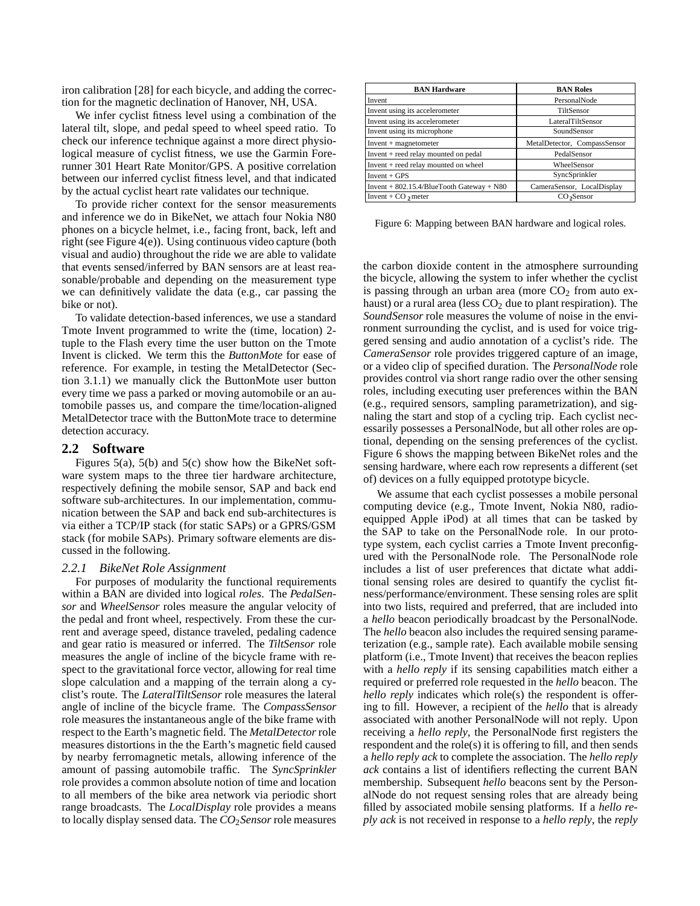iron calibration [28] for each bicycle, and adding the correction for the magnetic declination of Hanover, NH, USA.

We infer cyclist fitness level using a combination of the lateral tilt, slope, and pedal speed to wheel speed ratio. To check our inference technique against a more direct physiological measure of cyclist fitness, we use the Garmin Forerunner 301 Heart Rate Monitor/GPS. A positive correlation between our inferred cyclist fitness level, and that indicated by the actual cyclist heart rate validates our technique.

To provide richer context for the sensor measurements and inference we do in BikeNet, we attach four Nokia N80 phones on a bicycle helmet, i.e., facing front, back, left and right (see Figure 4(e)). Using continuous video capture (both visual and audio) throughout the ride we are able to validate that events sensed/inferred by BAN sensors are at least reasonable/probable and depending on the measurement type we can definitively validate the data (e.g., car passing the bike or not).

To validate detection-based inferences, we use a standard Tmote Invent programmed to write the (time, location) 2 tuple to the Flash every time the user button on the Tmote Invent is clicked. We term this the *ButtonMote* for ease of reference. For example, in testing the MetalDetector (Section 3.1.1) we manually click the ButtonMote user button every time we pass a parked or moving automobile or an automobile passes us, and compare the time/location-aligned MetalDetector trace with the ButtonMote trace to determine detection accuracy.

#### **2.2 Software**

Figures 5(a), 5(b) and 5(c) show how the BikeNet software system maps to the three tier hardware architecture, respectively defining the mobile sensor, SAP and back end software sub-architectures. In our implementation, communication between the SAP and back end sub-architectures is via either a TCP/IP stack (for static SAPs) or a GPRS/GSM stack (for mobile SAPs). Primary software elements are discussed in the following.

#### *2.2.1 BikeNet Role Assignment*

For purposes of modularity the functional requirements within a BAN are divided into logical *roles*. The *PedalSensor* and *WheelSensor* roles measure the angular velocity of the pedal and front wheel, respectively. From these the current and average speed, distance traveled, pedaling cadence and gear ratio is measured or inferred. The *TiltSensor* role measures the angle of incline of the bicycle frame with respect to the gravitational force vector, allowing for real time slope calculation and a mapping of the terrain along a cyclist's route. The *LateralTiltSensor* role measures the lateral angle of incline of the bicycle frame. The *CompassSensor* role measures the instantaneous angle of the bike frame with respect to the Earth's magnetic field. The *MetalDetector* role measures distortions in the the Earth's magnetic field caused by nearby ferromagnetic metals, allowing inference of the amount of passing automobile traffic. The *SyncSprinkler* role provides a common absolute notion of time and location to all members of the bike area network via periodic short range broadcasts. The *LocalDisplay* role provides a means to locally display sensed data. The *CO*<sub>2</sub>*Sensor* role measures

| <b>BAN Hardware</b>                          | <b>BAN Roles</b>             |
|----------------------------------------------|------------------------------|
| Invent                                       | PersonalNode                 |
| Invent using its accelerometer               | TiltSensor                   |
| Invent using its accelerometer               | LateralTiltSensor            |
| Invent using its microphone                  | SoundSensor                  |
| $Invent + magnetometer$                      | MetalDetector, CompassSensor |
| Invent + reed relay mounted on pedal         | PedalSensor                  |
| Invent + reed relay mounted on wheel         | WheelSensor                  |
| $Invent + GPS$                               | SyncSprinkler                |
| Invent + $802.15.4$ /BlueTooth Gateway + N80 | CameraSensor, LocalDisplay   |
| Invent + $CO_2$ meter                        | $CO2$ Sensor                 |

Figure 6: Mapping between BAN hardware and logical roles.

the carbon dioxide content in the atmosphere surrounding the bicycle, allowing the system to infer whether the cyclist is passing through an urban area (more  $CO<sub>2</sub>$  from auto exhaust) or a rural area (less  $CO<sub>2</sub>$  due to plant respiration). The *SoundSensor* role measures the volume of noise in the environment surrounding the cyclist, and is used for voice triggered sensing and audio annotation of a cyclist's ride. The *CameraSensor* role provides triggered capture of an image, or a video clip of specified duration. The *PersonalNode* role provides control via short range radio over the other sensing roles, including executing user preferences within the BAN (e.g., required sensors, sampling parametrization), and signaling the start and stop of a cycling trip. Each cyclist necessarily possesses a PersonalNode, but all other roles are optional, depending on the sensing preferences of the cyclist. Figure 6 shows the mapping between BikeNet roles and the sensing hardware, where each row represents a different (set of) devices on a fully equipped prototype bicycle.

We assume that each cyclist possesses a mobile personal computing device (e.g., Tmote Invent, Nokia N80, radioequipped Apple iPod) at all times that can be tasked by the SAP to take on the PersonalNode role. In our prototype system, each cyclist carries a Tmote Invent preconfigured with the PersonalNode role. The PersonalNode role includes a list of user preferences that dictate what additional sensing roles are desired to quantify the cyclist fitness/performance/environment. These sensing roles are split into two lists, required and preferred, that are included into a *hello* beacon periodically broadcast by the PersonalNode. The *hello* beacon also includes the required sensing parameterization (e.g., sample rate). Each available mobile sensing platform (i.e., Tmote Invent) that receives the beacon replies with a *hello reply* if its sensing capabilities match either a required or preferred role requested in the *hello* beacon. The *hello reply* indicates which role(s) the respondent is offering to fill. However, a recipient of the *hello* that is already associated with another PersonalNode will not reply. Upon receiving a *hello reply*, the PersonalNode first registers the respondent and the role(s) it is offering to fill, and then sends a *hello reply ack* to complete the association. The *hello reply ack* contains a list of identifiers reflecting the current BAN membership. Subsequent *hello* beacons sent by the PersonalNode do not request sensing roles that are already being filled by associated mobile sensing platforms. If a *hello reply ack* is not received in response to a *hello reply*, the *reply*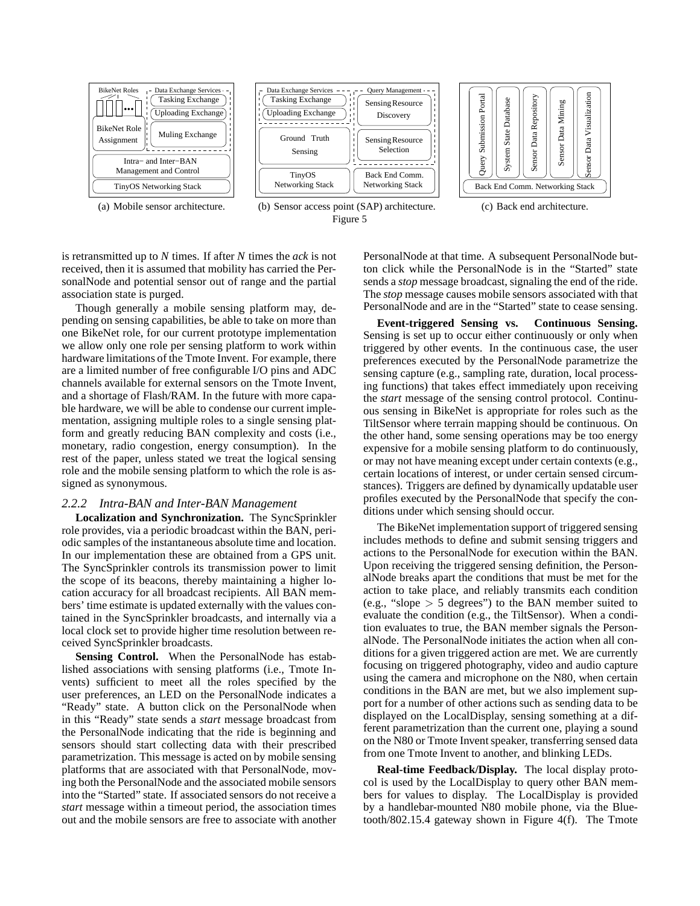

(a) Mobile sensor architecture.



Networking Submission Portal Comm. Networking Stack Query Submission Portal Sensor Data Nining Sensor Data Nining Sensor Data Visualization

(b) Sensor access point (SAP) architecture. Figure 5

(c) Back end architecture.

is retransmitted up to *N* times. If after *N* times the *ack* is not received, then it is assumed that mobility has carried the PersonalNode and potential sensor out of range and the partial association state is purged.

Though generally a mobile sensing platform may, depending on sensing capabilities, be able to take on more than one BikeNet role, for our current prototype implementation we allow only one role per sensing platform to work within hardware limitations of the Tmote Invent. For example, there are a limited number of free configurable I/O pins and ADC channels available for external sensors on the Tmote Invent, and a shortage of Flash/RAM. In the future with more capable hardware, we will be able to condense our current implementation, assigning multiple roles to a single sensing platform and greatly reducing BAN complexity and costs (i.e., monetary, radio congestion, energy consumption). In the rest of the paper, unless stated we treat the logical sensing role and the mobile sensing platform to which the role is assigned as synonymous.

#### *2.2.2 Intra-BAN and Inter-BAN Management*

**Localization and Synchronization.** The SyncSprinkler role provides, via a periodic broadcast within the BAN, periodic samples of the instantaneous absolute time and location. In our implementation these are obtained from a GPS unit. The SyncSprinkler controls its transmission power to limit the scope of its beacons, thereby maintaining a higher location accuracy for all broadcast recipients. All BAN members' time estimate is updated externally with the values contained in the SyncSprinkler broadcasts, and internally via a local clock set to provide higher time resolution between received SyncSprinkler broadcasts.

Sensing Control. When the PersonalNode has established associations with sensing platforms (i.e., Tmote Invents) sufficient to meet all the roles specified by the user preferences, an LED on the PersonalNode indicates a "Ready" state. A button click on the PersonalNode when in this "Ready" state sends a *start* message broadcast from the PersonalNode indicating that the ride is beginning and sensors should start collecting data with their prescribed parametrization. This message is acted on by mobile sensing platforms that are associated with that PersonalNode, moving both the PersonalNode and the associated mobile sensors into the "Started" state. If associated sensors do not receive a *start* message within a timeout period, the association times out and the mobile sensors are free to associate with another

PersonalNode at that time. A subsequent PersonalNode button click while the PersonalNode is in the "Started" state sends a *stop* message broadcast, signaling the end of the ride. The *stop* message causes mobile sensors associated with that PersonalNode and are in the "Started" state to cease sensing.

**Event-triggered Sensing vs. Continuous Sensing.** Sensing is set up to occur either continuously or only when triggered by other events. In the continuous case, the user preferences executed by the PersonalNode parametrize the sensing capture (e.g., sampling rate, duration, local processing functions) that takes effect immediately upon receiving the *start* message of the sensing control protocol. Continuous sensing in BikeNet is appropriate for roles such as the TiltSensor where terrain mapping should be continuous. On the other hand, some sensing operations may be too energy expensive for a mobile sensing platform to do continuously, or may not have meaning except under certain contexts (e.g., certain locations of interest, or under certain sensed circumstances). Triggers are defined by dynamically updatable user profiles executed by the PersonalNode that specify the conditions under which sensing should occur.

The BikeNet implementation support of triggered sensing includes methods to define and submit sensing triggers and actions to the PersonalNode for execution within the BAN. Upon receiving the triggered sensing definition, the PersonalNode breaks apart the conditions that must be met for the action to take place, and reliably transmits each condition (e.g., "slope  $> 5$  degrees") to the BAN member suited to evaluate the condition (e.g., the TiltSensor). When a condition evaluates to true, the BAN member signals the PersonalNode. The PersonalNode initiates the action when all conditions for a given triggered action are met. We are currently focusing on triggered photography, video and audio capture using the camera and microphone on the N80, when certain conditions in the BAN are met, but we also implement support for a number of other actions such as sending data to be displayed on the LocalDisplay, sensing something at a different parametrization than the current one, playing a sound on the N80 or Tmote Invent speaker, transferring sensed data from one Tmote Invent to another, and blinking LEDs.

**Real-time Feedback/Display.** The local display protocol is used by the LocalDisplay to query other BAN members for values to display. The LocalDisplay is provided by a handlebar-mounted N80 mobile phone, via the Bluetooth/802.15.4 gateway shown in Figure 4(f). The Tmote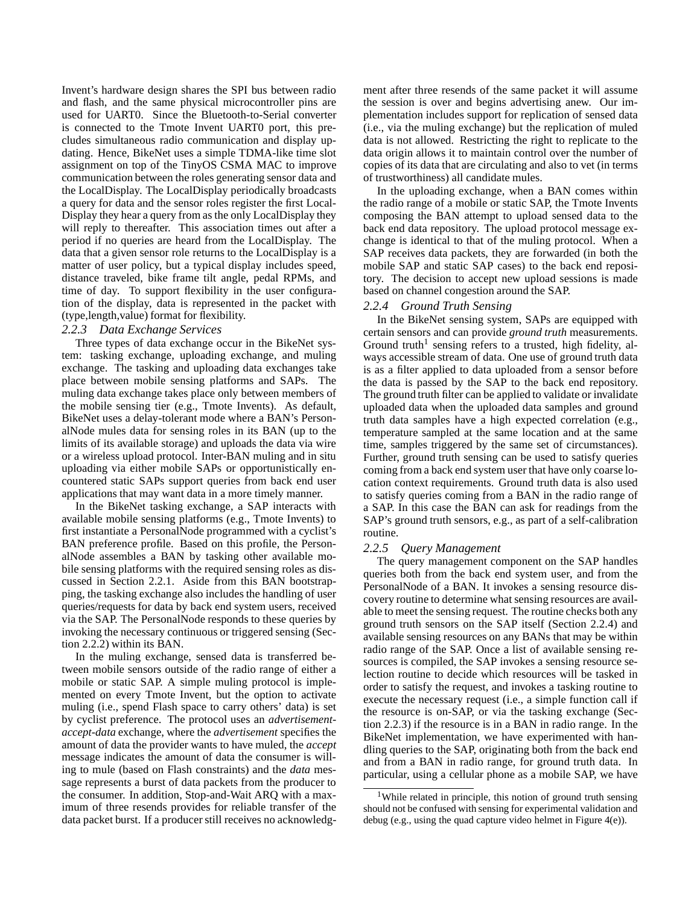Invent's hardware design shares the SPI bus between radio and flash, and the same physical microcontroller pins are used for UART0. Since the Bluetooth-to-Serial converter is connected to the Tmote Invent UART0 port, this precludes simultaneous radio communication and display updating. Hence, BikeNet uses a simple TDMA-like time slot assignment on top of the TinyOS CSMA MAC to improve communication between the roles generating sensor data and the LocalDisplay. The LocalDisplay periodically broadcasts a query for data and the sensor roles register the first Local-Display they hear a query from as the only LocalDisplay they will reply to thereafter. This association times out after a period if no queries are heard from the LocalDisplay. The data that a given sensor role returns to the LocalDisplay is a matter of user policy, but a typical display includes speed, distance traveled, bike frame tilt angle, pedal RPMs, and time of day. To support flexibility in the user configuration of the display, data is represented in the packet with (type,length,value) format for flexibility.

#### *2.2.3 Data Exchange Services*

Three types of data exchange occur in the BikeNet system: tasking exchange, uploading exchange, and muling exchange. The tasking and uploading data exchanges take place between mobile sensing platforms and SAPs. The muling data exchange takes place only between members of the mobile sensing tier (e.g., Tmote Invents). As default, BikeNet uses a delay-tolerant mode where a BAN's PersonalNode mules data for sensing roles in its BAN (up to the limits of its available storage) and uploads the data via wire or a wireless upload protocol. Inter-BAN muling and in situ uploading via either mobile SAPs or opportunistically encountered static SAPs support queries from back end user applications that may want data in a more timely manner.

In the BikeNet tasking exchange, a SAP interacts with available mobile sensing platforms (e.g., Tmote Invents) to first instantiate a PersonalNode programmed with a cyclist's BAN preference profile. Based on this profile, the PersonalNode assembles a BAN by tasking other available mobile sensing platforms with the required sensing roles as discussed in Section 2.2.1. Aside from this BAN bootstrapping, the tasking exchange also includes the handling of user queries/requests for data by back end system users, received via the SAP. The PersonalNode responds to these queries by invoking the necessary continuous or triggered sensing (Section 2.2.2) within its BAN.

In the muling exchange, sensed data is transferred between mobile sensors outside of the radio range of either a mobile or static SAP. A simple muling protocol is implemented on every Tmote Invent, but the option to activate muling (i.e., spend Flash space to carry others' data) is set by cyclist preference. The protocol uses an *advertisementaccept-data* exchange, where the *advertisement* specifies the amount of data the provider wants to have muled, the *accept* message indicates the amount of data the consumer is willing to mule (based on Flash constraints) and the *data* message represents a burst of data packets from the producer to the consumer. In addition, Stop-and-Wait ARQ with a maximum of three resends provides for reliable transfer of the data packet burst. If a producer still receives no acknowledgment after three resends of the same packet it will assume the session is over and begins advertising anew. Our implementation includes support for replication of sensed data (i.e., via the muling exchange) but the replication of muled data is not allowed. Restricting the right to replicate to the data origin allows it to maintain control over the number of copies of its data that are circulating and also to vet (in terms of trustworthiness) all candidate mules.

In the uploading exchange, when a BAN comes within the radio range of a mobile or static SAP, the Tmote Invents composing the BAN attempt to upload sensed data to the back end data repository. The upload protocol message exchange is identical to that of the muling protocol. When a SAP receives data packets, they are forwarded (in both the mobile SAP and static SAP cases) to the back end repository. The decision to accept new upload sessions is made based on channel congestion around the SAP.

## *2.2.4 Ground Truth Sensing*

In the BikeNet sensing system, SAPs are equipped with certain sensors and can provide *ground truth* measurements. Ground truth<sup>1</sup> sensing refers to a trusted, high fidelity, always accessible stream of data. One use of ground truth data is as a filter applied to data uploaded from a sensor before the data is passed by the SAP to the back end repository. The ground truth filter can be applied to validate or invalidate uploaded data when the uploaded data samples and ground truth data samples have a high expected correlation (e.g., temperature sampled at the same location and at the same time, samples triggered by the same set of circumstances). Further, ground truth sensing can be used to satisfy queries coming from a back end system user that have only coarse location context requirements. Ground truth data is also used to satisfy queries coming from a BAN in the radio range of a SAP. In this case the BAN can ask for readings from the SAP's ground truth sensors, e.g., as part of a self-calibration routine.

#### *2.2.5 Query Management*

The query management component on the SAP handles queries both from the back end system user, and from the PersonalNode of a BAN. It invokes a sensing resource discovery routine to determine what sensing resources are available to meet the sensing request. The routine checks both any ground truth sensors on the SAP itself (Section 2.2.4) and available sensing resources on any BANs that may be within radio range of the SAP. Once a list of available sensing resources is compiled, the SAP invokes a sensing resource selection routine to decide which resources will be tasked in order to satisfy the request, and invokes a tasking routine to execute the necessary request (i.e., a simple function call if the resource is on-SAP, or via the tasking exchange (Section 2.2.3) if the resource is in a BAN in radio range. In the BikeNet implementation, we have experimented with handling queries to the SAP, originating both from the back end and from a BAN in radio range, for ground truth data. In particular, using a cellular phone as a mobile SAP, we have

<sup>&</sup>lt;sup>1</sup>While related in principle, this notion of ground truth sensing should not be confused with sensing for experimental validation and debug (e.g., using the quad capture video helmet in Figure 4(e)).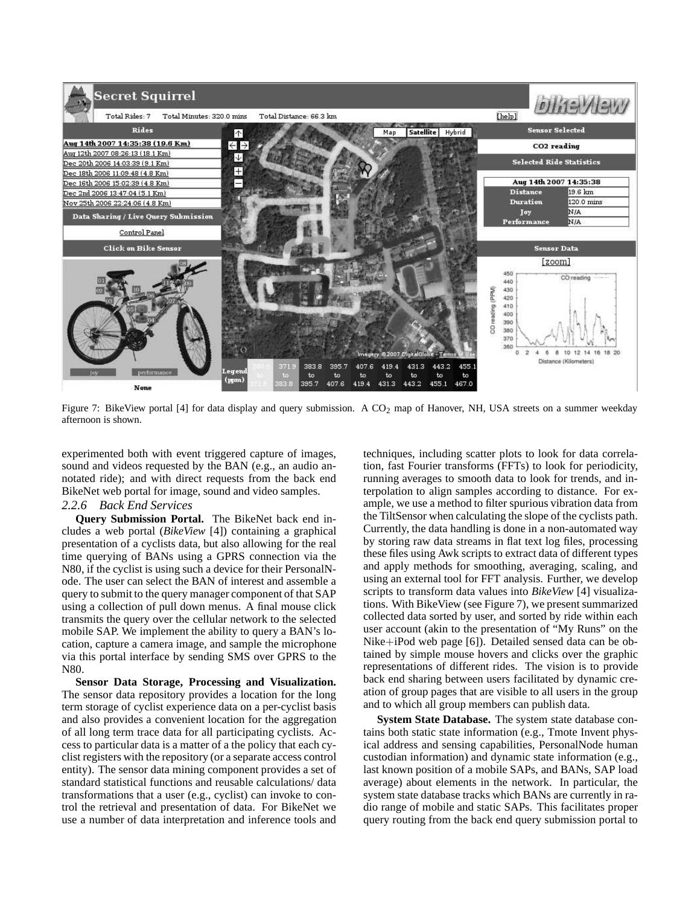

Figure 7: BikeView portal [4] for data display and query submission. A CO<sub>2</sub> map of Hanover, NH, USA streets on a summer weekday afternoon is shown.

experimented both with event triggered capture of images, sound and videos requested by the BAN (e.g., an audio annotated ride); and with direct requests from the back end BikeNet web portal for image, sound and video samples.

# *2.2.6 Back End Services*

**Query Submission Portal.** The BikeNet back end includes a web portal (*BikeView* [4]) containing a graphical presentation of a cyclists data, but also allowing for the real time querying of BANs using a GPRS connection via the N80, if the cyclist is using such a device for their PersonalNode. The user can select the BAN of interest and assemble a query to submit to the query manager component of that SAP using a collection of pull down menus. A final mouse click transmits the query over the cellular network to the selected mobile SAP. We implement the ability to query a BAN's location, capture a camera image, and sample the microphone via this portal interface by sending SMS over GPRS to the N80.

**Sensor Data Storage, Processing and Visualization.** The sensor data repository provides a location for the long term storage of cyclist experience data on a per-cyclist basis and also provides a convenient location for the aggregation of all long term trace data for all participating cyclists. Access to particular data is a matter of a the policy that each cyclist registers with the repository (or a separate access control entity). The sensor data mining component provides a set of standard statistical functions and reusable calculations/ data transformations that a user (e.g., cyclist) can invoke to control the retrieval and presentation of data. For BikeNet we use a number of data interpretation and inference tools and

techniques, including scatter plots to look for data correlation, fast Fourier transforms (FFTs) to look for periodicity, running averages to smooth data to look for trends, and interpolation to align samples according to distance. For example, we use a method to filter spurious vibration data from the TiltSensor when calculating the slope of the cyclists path. Currently, the data handling is done in a non-automated way by storing raw data streams in flat text log files, processing these files using Awk scripts to extract data of different types and apply methods for smoothing, averaging, scaling, and using an external tool for FFT analysis. Further, we develop scripts to transform data values into *BikeView* [4] visualizations. With BikeView (see Figure 7), we present summarized collected data sorted by user, and sorted by ride within each user account (akin to the presentation of "My Runs" on the Nike+iPod web page [6]). Detailed sensed data can be obtained by simple mouse hovers and clicks over the graphic representations of different rides. The vision is to provide back end sharing between users facilitated by dynamic creation of group pages that are visible to all users in the group and to which all group members can publish data.

**System State Database.** The system state database contains both static state information (e.g., Tmote Invent physical address and sensing capabilities, PersonalNode human custodian information) and dynamic state information (e.g., last known position of a mobile SAPs, and BANs, SAP load average) about elements in the network. In particular, the system state database tracks which BANs are currently in radio range of mobile and static SAPs. This facilitates proper query routing from the back end query submission portal to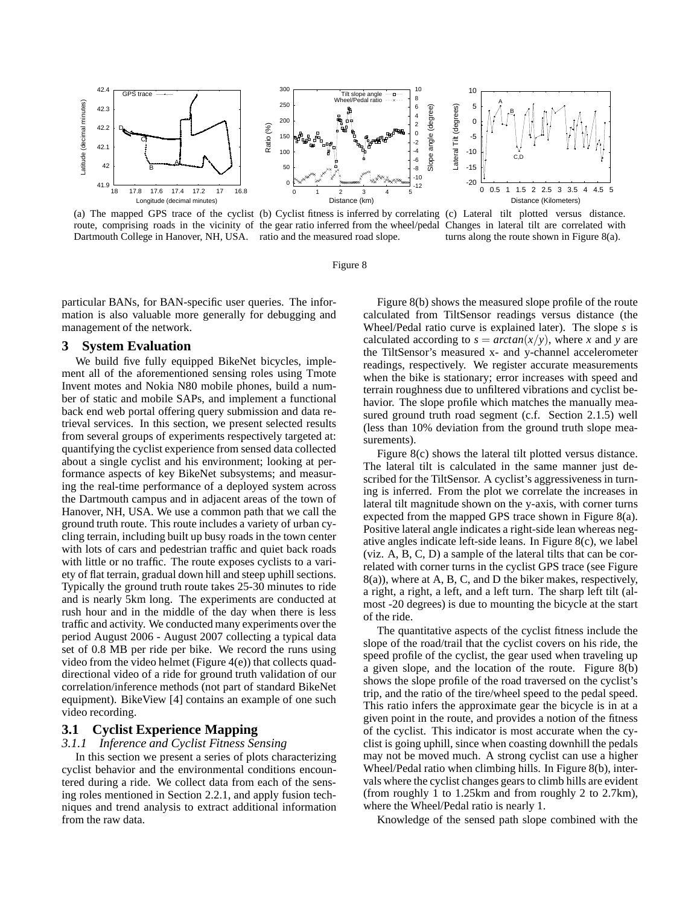

Dartmouth College in Hanover, NH, USA. ratio and the measured road slope.



(a) The mapped GPS trace of the cyclist (b) Cyclist fitness is inferred by correlating (c) Lateral tilt plotted versus distance. route, comprising roads in the vicinity of the gear ratio inferred from the wheel/pedal Changes in lateral tilt are correlated with turns along the route shown in Figure 8(a).



particular BANs, for BAN-specific user queries. The information is also valuable more generally for debugging and management of the network.

## **3 System Evaluation**

We build five fully equipped BikeNet bicycles, implement all of the aforementioned sensing roles using Tmote Invent motes and Nokia N80 mobile phones, build a number of static and mobile SAPs, and implement a functional back end web portal offering query submission and data retrieval services. In this section, we present selected results from several groups of experiments respectively targeted at: quantifying the cyclist experience from sensed data collected about a single cyclist and his environment; looking at performance aspects of key BikeNet subsystems; and measuring the real-time performance of a deployed system across the Dartmouth campus and in adjacent areas of the town of Hanover, NH, USA. We use a common path that we call the ground truth route. This route includes a variety of urban cycling terrain, including built up busy roads in the town center with lots of cars and pedestrian traffic and quiet back roads with little or no traffic. The route exposes cyclists to a variety of flat terrain, gradual down hill and steep uphill sections. Typically the ground truth route takes 25-30 minutes to ride and is nearly 5km long. The experiments are conducted at rush hour and in the middle of the day when there is less traffic and activity. We conducted many experiments over the period August 2006 - August 2007 collecting a typical data set of 0.8 MB per ride per bike. We record the runs using video from the video helmet (Figure 4(e)) that collects quaddirectional video of a ride for ground truth validation of our correlation/inference methods (not part of standard BikeNet equipment). BikeView [4] contains an example of one such video recording.

# **3.1 Cyclist Experience Mapping**

#### *3.1.1 Inference and Cyclist Fitness Sensing*

In this section we present a series of plots characterizing cyclist behavior and the environmental conditions encountered during a ride. We collect data from each of the sensing roles mentioned in Section 2.2.1, and apply fusion techniques and trend analysis to extract additional information from the raw data.

Figure 8(b) shows the measured slope profile of the route calculated from TiltSensor readings versus distance (the Wheel/Pedal ratio curve is explained later). The slope *s* is calculated according to  $s = \arctan(x/y)$ , where *x* and *y* are the TiltSensor's measured x- and y-channel accelerometer readings, respectively. We register accurate measurements when the bike is stationary; error increases with speed and terrain roughness due to unfiltered vibrations and cyclist behavior. The slope profile which matches the manually measured ground truth road segment (c.f. Section 2.1.5) well (less than 10% deviation from the ground truth slope measurements).

Figure 8(c) shows the lateral tilt plotted versus distance. The lateral tilt is calculated in the same manner just described for the TiltSensor. A cyclist's aggressiveness in turning is inferred. From the plot we correlate the increases in lateral tilt magnitude shown on the y-axis, with corner turns expected from the mapped GPS trace shown in Figure 8(a). Positive lateral angle indicates a right-side lean whereas negative angles indicate left-side leans. In Figure 8(c), we label (viz. A, B, C, D) a sample of the lateral tilts that can be correlated with corner turns in the cyclist GPS trace (see Figure 8(a)), where at A, B, C, and D the biker makes, respectively, a right, a right, a left, and a left turn. The sharp left tilt (almost -20 degrees) is due to mounting the bicycle at the start of the ride.

The quantitative aspects of the cyclist fitness include the slope of the road/trail that the cyclist covers on his ride, the speed profile of the cyclist, the gear used when traveling up a given slope, and the location of the route. Figure 8(b) shows the slope profile of the road traversed on the cyclist's trip, and the ratio of the tire/wheel speed to the pedal speed. This ratio infers the approximate gear the bicycle is in at a given point in the route, and provides a notion of the fitness of the cyclist. This indicator is most accurate when the cyclist is going uphill, since when coasting downhill the pedals may not be moved much. A strong cyclist can use a higher Wheel/Pedal ratio when climbing hills. In Figure 8(b), intervals where the cyclist changes gears to climb hills are evident (from roughly 1 to 1.25km and from roughly 2 to 2.7km), where the Wheel/Pedal ratio is nearly 1.

Knowledge of the sensed path slope combined with the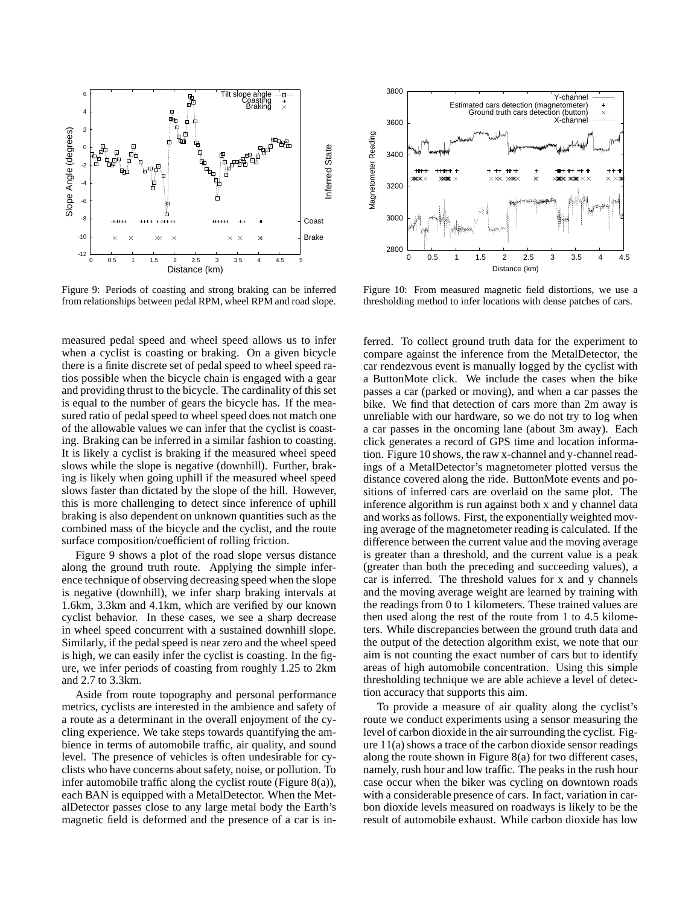

Figure 9: Periods of coasting and strong braking can be inferred from relationships between pedal RPM, wheel RPM and road slope.

measured pedal speed and wheel speed allows us to infer when a cyclist is coasting or braking. On a given bicycle there is a finite discrete set of pedal speed to wheel speed ratios possible when the bicycle chain is engaged with a gear and providing thrust to the bicycle. The cardinality of this set is equal to the number of gears the bicycle has. If the measured ratio of pedal speed to wheel speed does not match one of the allowable values we can infer that the cyclist is coasting. Braking can be inferred in a similar fashion to coasting. It is likely a cyclist is braking if the measured wheel speed slows while the slope is negative (downhill). Further, braking is likely when going uphill if the measured wheel speed slows faster than dictated by the slope of the hill. However, this is more challenging to detect since inference of uphill braking is also dependent on unknown quantities such as the combined mass of the bicycle and the cyclist, and the route surface composition/coefficient of rolling friction.

Figure 9 shows a plot of the road slope versus distance along the ground truth route. Applying the simple inference technique of observing decreasing speed when the slope is negative (downhill), we infer sharp braking intervals at 1.6km, 3.3km and 4.1km, which are verified by our known cyclist behavior. In these cases, we see a sharp decrease in wheel speed concurrent with a sustained downhill slope. Similarly, if the pedal speed is near zero and the wheel speed is high, we can easily infer the cyclist is coasting. In the figure, we infer periods of coasting from roughly 1.25 to 2km and 2.7 to 3.3km.

Aside from route topography and personal performance metrics, cyclists are interested in the ambience and safety of a route as a determinant in the overall enjoyment of the cycling experience. We take steps towards quantifying the ambience in terms of automobile traffic, air quality, and sound level. The presence of vehicles is often undesirable for cyclists who have concerns about safety, noise, or pollution. To infer automobile traffic along the cyclist route (Figure  $8(a)$ ), each BAN is equipped with a MetalDetector. When the MetalDetector passes close to any large metal body the Earth's magnetic field is deformed and the presence of a car is in-



Figure 10: From measured magnetic field distortions, we use a thresholding method to infer locations with dense patches of cars.

ferred. To collect ground truth data for the experiment to compare against the inference from the MetalDetector, the car rendezvous event is manually logged by the cyclist with a ButtonMote click. We include the cases when the bike passes a car (parked or moving), and when a car passes the bike. We find that detection of cars more than 2m away is unreliable with our hardware, so we do not try to log when a car passes in the oncoming lane (about 3m away). Each click generates a record of GPS time and location information. Figure 10 shows, the raw x-channel and y-channel readings of a MetalDetector's magnetometer plotted versus the distance covered along the ride. ButtonMote events and positions of inferred cars are overlaid on the same plot. The inference algorithm is run against both x and y channel data and works as follows. First, the exponentially weighted moving average of the magnetometer reading is calculated. If the difference between the current value and the moving average is greater than a threshold, and the current value is a peak (greater than both the preceding and succeeding values), a car is inferred. The threshold values for x and y channels and the moving average weight are learned by training with the readings from 0 to 1 kilometers. These trained values are then used along the rest of the route from 1 to 4.5 kilometers. While discrepancies between the ground truth data and the output of the detection algorithm exist, we note that our aim is not counting the exact number of cars but to identify areas of high automobile concentration. Using this simple thresholding technique we are able achieve a level of detection accuracy that supports this aim.

To provide a measure of air quality along the cyclist's route we conduct experiments using a sensor measuring the level of carbon dioxide in the air surrounding the cyclist. Figure 11(a) shows a trace of the carbon dioxide sensor readings along the route shown in Figure 8(a) for two different cases, namely, rush hour and low traffic. The peaks in the rush hour case occur when the biker was cycling on downtown roads with a considerable presence of cars. In fact, variation in carbon dioxide levels measured on roadways is likely to be the result of automobile exhaust. While carbon dioxide has low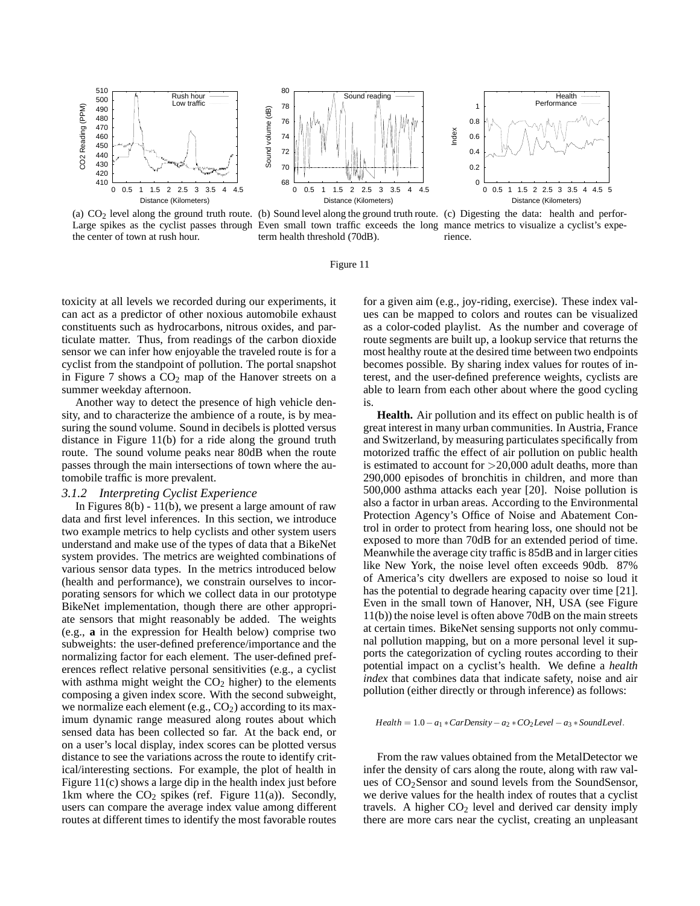

the center of town at rush hour.



Large spikes as the cyclist passes through Even small town traffic exceeds the long mance metrics to visualize a cyclist's expeterm health threshold (70dB).



Index

(a)  $CO<sub>2</sub>$  level along the ground truth route. (b) Sound level along the ground truth route. (c) Digesting the data: health and perforrience.



toxicity at all levels we recorded during our experiments, it can act as a predictor of other noxious automobile exhaust constituents such as hydrocarbons, nitrous oxides, and particulate matter. Thus, from readings of the carbon dioxide sensor we can infer how enjoyable the traveled route is for a cyclist from the standpoint of pollution. The portal snapshot in Figure 7 shows a  $CO<sub>2</sub>$  map of the Hanover streets on a summer weekday afternoon.

Another way to detect the presence of high vehicle density, and to characterize the ambience of a route, is by measuring the sound volume. Sound in decibels is plotted versus distance in Figure 11(b) for a ride along the ground truth route. The sound volume peaks near 80dB when the route passes through the main intersections of town where the automobile traffic is more prevalent.

#### *3.1.2 Interpreting Cyclist Experience*

In Figures 8(b) - 11(b), we present a large amount of raw data and first level inferences. In this section, we introduce two example metrics to help cyclists and other system users understand and make use of the types of data that a BikeNet system provides. The metrics are weighted combinations of various sensor data types. In the metrics introduced below (health and performance), we constrain ourselves to incorporating sensors for which we collect data in our prototype BikeNet implementation, though there are other appropriate sensors that might reasonably be added. The weights (e.g., **a** in the expression for Health below) comprise two subweights: the user-defined preference/importance and the normalizing factor for each element. The user-defined preferences reflect relative personal sensitivities (e.g., a cyclist with asthma might weight the  $CO<sub>2</sub>$  higher) to the elements composing a given index score. With the second subweight, we normalize each element (e.g.,  $CO<sub>2</sub>$ ) according to its maximum dynamic range measured along routes about which sensed data has been collected so far. At the back end, or on a user's local display, index scores can be plotted versus distance to see the variations across the route to identify critical/interesting sections. For example, the plot of health in Figure 11(c) shows a large dip in the health index just before 1km where the  $CO<sub>2</sub>$  spikes (ref. Figure 11(a)). Secondly, users can compare the average index value among different routes at different times to identify the most favorable routes for a given aim (e.g., joy-riding, exercise). These index values can be mapped to colors and routes can be visualized as a color-coded playlist. As the number and coverage of route segments are built up, a lookup service that returns the most healthy route at the desired time between two endpoints becomes possible. By sharing index values for routes of interest, and the user-defined preference weights, cyclists are able to learn from each other about where the good cycling is.

**Health.** Air pollution and its effect on public health is of great interest in many urban communities. In Austria, France and Switzerland, by measuring particulates specifically from motorized traffic the effect of air pollution on public health is estimated to account for  $>20,000$  adult deaths, more than 290,000 episodes of bronchitis in children, and more than 500,000 asthma attacks each year [20]. Noise pollution is also a factor in urban areas. According to the Environmental Protection Agency's Office of Noise and Abatement Control in order to protect from hearing loss, one should not be exposed to more than 70dB for an extended period of time. Meanwhile the average city traffic is 85dB and in larger cities like New York, the noise level often exceeds 90db. 87% of America's city dwellers are exposed to noise so loud it has the potential to degrade hearing capacity over time [21]. Even in the small town of Hanover, NH, USA (see Figure 11(b)) the noise level is often above 70dB on the main streets at certain times. BikeNet sensing supports not only communal pollution mapping, but on a more personal level it supports the categorization of cycling routes according to their potential impact on a cyclist's health. We define a *health index* that combines data that indicate safety, noise and air pollution (either directly or through inference) as follows:

#### *Health* = 1.0−*a*<sup>1</sup> ∗*CarDensity*−*a*<sup>2</sup> ∗*CO*2*Level* −*a*<sup>3</sup> ∗ *SoundLevel*.

From the raw values obtained from the MetalDetector we infer the density of cars along the route, along with raw values of CO<sub>2</sub>Sensor and sound levels from the SoundSensor, we derive values for the health index of routes that a cyclist travels. A higher  $CO<sub>2</sub>$  level and derived car density imply there are more cars near the cyclist, creating an unpleasant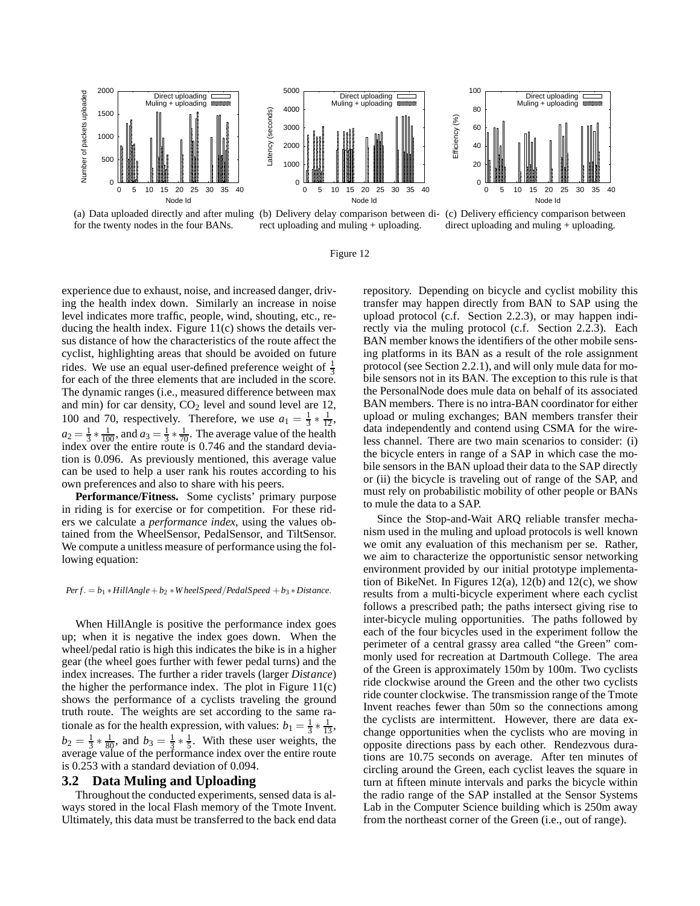

for the twenty nodes in the four BANs.





(c) Delivery efficiency comparison between direct uploading and muling + uploading.



rect uploading and muling + uploading.

experience due to exhaust, noise, and increased danger, driving the health index down. Similarly an increase in noise level indicates more traffic, people, wind, shouting, etc., reducing the health index. Figure 11(c) shows the details versus distance of how the characteristics of the route affect the cyclist, highlighting areas that should be avoided on future rides. We use an equal user-defined preference weight of  $\frac{1}{3}$ for each of the three elements that are included in the score. The dynamic ranges (i.e., measured difference between max and min) for car density,  $CO<sub>2</sub>$  level and sound level are 12, 100 and 70, respectively. Therefore, we use  $a_1 = \frac{1}{3} * \frac{1}{12}$ ,  $a_2 = \frac{1}{3} * \frac{1}{100}$ , and  $a_3 = \frac{1}{3} * \frac{1}{70}$ . The average value of the health index over the entire route is 0.746 and the standard deviation is 0.096. As previously mentioned, this average value can be used to help a user rank his routes according to his own preferences and also to share with his peers.

**Performance/Fitness.** Some cyclists' primary purpose in riding is for exercise or for competition. For these riders we calculate a *performance index*, using the values obtained from the WheelSensor, PedalSensor, and TiltSensor. We compute a unitless measure of performance using the following equation:

#### $Per f. = b_1 * HillAngle + b_2 * W heel Speed/Pedalspeed + b_3 * Distance.$

When HillAngle is positive the performance index goes up; when it is negative the index goes down. When the wheel/pedal ratio is high this indicates the bike is in a higher gear (the wheel goes further with fewer pedal turns) and the index increases. The further a rider travels (larger *Distance*) the higher the performance index. The plot in Figure  $11(c)$ shows the performance of a cyclists traveling the ground truth route. The weights are set according to the same rationale as for the health expression, with values:  $b_1 = \frac{1}{3} * \frac{1}{13}$ ,  $b_2 = \frac{1}{3} * \frac{1}{80}$ , and  $b_3 = \frac{1}{3} * \frac{1}{5}$ . With these user weights, the average value of the performance index over the entire route is 0.253 with a standard deviation of 0.094.

# **3.2 Data Muling and Uploading**

Throughout the conducted experiments, sensed data is always stored in the local Flash memory of the Tmote Invent. Ultimately, this data must be transferred to the back end data repository. Depending on bicycle and cyclist mobility this transfer may happen directly from BAN to SAP using the upload protocol (c.f. Section 2.2.3), or may happen indirectly via the muling protocol (c.f. Section 2.2.3). Each BAN member knows the identifiers of the other mobile sensing platforms in its BAN as a result of the role assignment protocol (see Section 2.2.1), and will only mule data for mobile sensors not in its BAN. The exception to this rule is that the PersonalNode does mule data on behalf of its associated BAN members. There is no intra-BAN coordinator for either upload or muling exchanges; BAN members transfer their data independently and contend using CSMA for the wireless channel. There are two main scenarios to consider: (i) the bicycle enters in range of a SAP in which case the mobile sensors in the BAN upload their data to the SAP directly or (ii) the bicycle is traveling out of range of the SAP, and must rely on probabilistic mobility of other people or BANs to mule the data to a SAP.

Since the Stop-and-Wait ARQ reliable transfer mechanism used in the muling and upload protocols is well known we omit any evaluation of this mechanism per se. Rather, we aim to characterize the opportunistic sensor networking environment provided by our initial prototype implementation of BikeNet. In Figures 12(a), 12(b) and 12(c), we show results from a multi-bicycle experiment where each cyclist follows a prescribed path; the paths intersect giving rise to inter-bicycle muling opportunities. The paths followed by each of the four bicycles used in the experiment follow the perimeter of a central grassy area called "the Green" commonly used for recreation at Dartmouth College. The area of the Green is approximately 150m by 100m. Two cyclists ride clockwise around the Green and the other two cyclists ride counter clockwise. The transmission range of the Tmote Invent reaches fewer than 50m so the connections among the cyclists are intermittent. However, there are data exchange opportunities when the cyclists who are moving in opposite directions pass by each other. Rendezvous durations are 10.75 seconds on average. After ten minutes of circling around the Green, each cyclist leaves the square in turn at fifteen minute intervals and parks the bicycle within the radio range of the SAP installed at the Sensor Systems Lab in the Computer Science building which is 250m away from the northeast corner of the Green (i.e., out of range).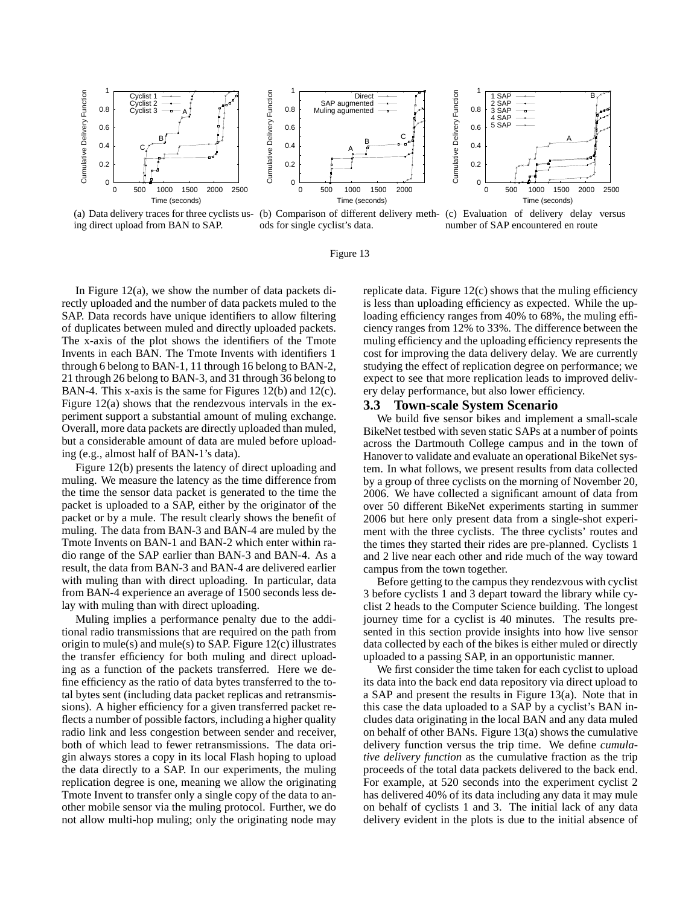

ing direct upload from BAN to SAP.







In Figure 12(a), we show the number of data packets directly uploaded and the number of data packets muled to the SAP. Data records have unique identifiers to allow filtering of duplicates between muled and directly uploaded packets. The x-axis of the plot shows the identifiers of the Tmote Invents in each BAN. The Tmote Invents with identifiers 1 through 6 belong to BAN-1, 11 through 16 belong to BAN-2, 21 through 26 belong to BAN-3, and 31 through 36 belong to BAN-4. This x-axis is the same for Figures 12(b) and 12(c). Figure 12(a) shows that the rendezvous intervals in the experiment support a substantial amount of muling exchange. Overall, more data packets are directly uploaded than muled, but a considerable amount of data are muled before uploading (e.g., almost half of BAN-1's data).

Figure 12(b) presents the latency of direct uploading and muling. We measure the latency as the time difference from the time the sensor data packet is generated to the time the packet is uploaded to a SAP, either by the originator of the packet or by a mule. The result clearly shows the benefit of muling. The data from BAN-3 and BAN-4 are muled by the Tmote Invents on BAN-1 and BAN-2 which enter within radio range of the SAP earlier than BAN-3 and BAN-4. As a result, the data from BAN-3 and BAN-4 are delivered earlier with muling than with direct uploading. In particular, data from BAN-4 experience an average of 1500 seconds less delay with muling than with direct uploading.

Muling implies a performance penalty due to the additional radio transmissions that are required on the path from origin to mule(s) and mule(s) to SAP. Figure 12(c) illustrates the transfer efficiency for both muling and direct uploading as a function of the packets transferred. Here we define efficiency as the ratio of data bytes transferred to the total bytes sent (including data packet replicas and retransmissions). A higher efficiency for a given transferred packet reflects a number of possible factors, including a higher quality radio link and less congestion between sender and receiver, both of which lead to fewer retransmissions. The data origin always stores a copy in its local Flash hoping to upload the data directly to a SAP. In our experiments, the muling replication degree is one, meaning we allow the originating Tmote Invent to transfer only a single copy of the data to another mobile sensor via the muling protocol. Further, we do not allow multi-hop muling; only the originating node may

replicate data. Figure  $12(c)$  shows that the muling efficiency is less than uploading efficiency as expected. While the uploading efficiency ranges from 40% to 68%, the muling efficiency ranges from 12% to 33%. The difference between the muling efficiency and the uploading efficiency represents the cost for improving the data delivery delay. We are currently studying the effect of replication degree on performance; we expect to see that more replication leads to improved delivery delay performance, but also lower efficiency.

## **3.3 Town-scale System Scenario**

We build five sensor bikes and implement a small-scale BikeNet testbed with seven static SAPs at a number of points across the Dartmouth College campus and in the town of Hanover to validate and evaluate an operational BikeNet system. In what follows, we present results from data collected by a group of three cyclists on the morning of November 20, 2006. We have collected a significant amount of data from over 50 different BikeNet experiments starting in summer 2006 but here only present data from a single-shot experiment with the three cyclists. The three cyclists' routes and the times they started their rides are pre-planned. Cyclists 1 and 2 live near each other and ride much of the way toward campus from the town together.

Before getting to the campus they rendezvous with cyclist 3 before cyclists 1 and 3 depart toward the library while cyclist 2 heads to the Computer Science building. The longest journey time for a cyclist is 40 minutes. The results presented in this section provide insights into how live sensor data collected by each of the bikes is either muled or directly uploaded to a passing SAP, in an opportunistic manner.

We first consider the time taken for each cyclist to upload its data into the back end data repository via direct upload to a SAP and present the results in Figure 13(a). Note that in this case the data uploaded to a SAP by a cyclist's BAN includes data originating in the local BAN and any data muled on behalf of other BANs. Figure 13(a) shows the cumulative delivery function versus the trip time. We define *cumulative delivery function* as the cumulative fraction as the trip proceeds of the total data packets delivered to the back end. For example, at 520 seconds into the experiment cyclist 2 has delivered 40% of its data including any data it may mule on behalf of cyclists 1 and 3. The initial lack of any data delivery evident in the plots is due to the initial absence of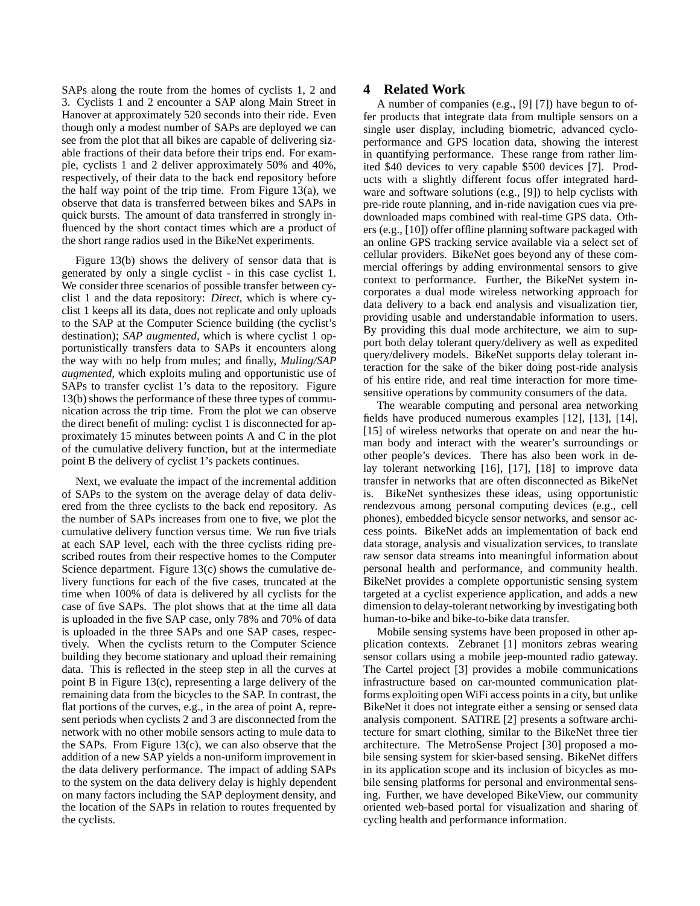SAPs along the route from the homes of cyclists 1, 2 and 3. Cyclists 1 and 2 encounter a SAP along Main Street in Hanover at approximately 520 seconds into their ride. Even though only a modest number of SAPs are deployed we can see from the plot that all bikes are capable of delivering sizable fractions of their data before their trips end. For example, cyclists 1 and 2 deliver approximately 50% and 40%, respectively, of their data to the back end repository before the half way point of the trip time. From Figure 13(a), we observe that data is transferred between bikes and SAPs in quick bursts. The amount of data transferred in strongly influenced by the short contact times which are a product of the short range radios used in the BikeNet experiments.

Figure 13(b) shows the delivery of sensor data that is generated by only a single cyclist - in this case cyclist 1. We consider three scenarios of possible transfer between cyclist 1 and the data repository: *Direct*, which is where cyclist 1 keeps all its data, does not replicate and only uploads to the SAP at the Computer Science building (the cyclist's destination); *SAP augmented*, which is where cyclist 1 opportunistically transfers data to SAPs it encounters along the way with no help from mules; and finally, *Muling/SAP augmented*, which exploits muling and opportunistic use of SAPs to transfer cyclist 1's data to the repository. Figure 13(b) shows the performance of these three types of communication across the trip time. From the plot we can observe the direct benefit of muling: cyclist 1 is disconnected for approximately 15 minutes between points A and C in the plot of the cumulative delivery function, but at the intermediate point B the delivery of cyclist 1's packets continues.

Next, we evaluate the impact of the incremental addition of SAPs to the system on the average delay of data delivered from the three cyclists to the back end repository. As the number of SAPs increases from one to five, we plot the cumulative delivery function versus time. We run five trials at each SAP level, each with the three cyclists riding prescribed routes from their respective homes to the Computer Science department. Figure 13(c) shows the cumulative delivery functions for each of the five cases, truncated at the time when 100% of data is delivered by all cyclists for the case of five SAPs. The plot shows that at the time all data is uploaded in the five SAP case, only 78% and 70% of data is uploaded in the three SAPs and one SAP cases, respectively. When the cyclists return to the Computer Science building they become stationary and upload their remaining data. This is reflected in the steep step in all the curves at point B in Figure 13(c), representing a large delivery of the remaining data from the bicycles to the SAP. In contrast, the flat portions of the curves, e.g., in the area of point A, represent periods when cyclists 2 and 3 are disconnected from the network with no other mobile sensors acting to mule data to the SAPs. From Figure 13(c), we can also observe that the addition of a new SAP yields a non-uniform improvement in the data delivery performance. The impact of adding SAPs to the system on the data delivery delay is highly dependent on many factors including the SAP deployment density, and the location of the SAPs in relation to routes frequented by the cyclists.

# **4 Related Work**

A number of companies (e.g., [9] [7]) have begun to offer products that integrate data from multiple sensors on a single user display, including biometric, advanced cycloperformance and GPS location data, showing the interest in quantifying performance. These range from rather limited \$40 devices to very capable \$500 devices [7]. Products with a slightly different focus offer integrated hardware and software solutions (e.g., [9]) to help cyclists with pre-ride route planning, and in-ride navigation cues via predownloaded maps combined with real-time GPS data. Others (e.g., [10]) offer offline planning software packaged with an online GPS tracking service available via a select set of cellular providers. BikeNet goes beyond any of these commercial offerings by adding environmental sensors to give context to performance. Further, the BikeNet system incorporates a dual mode wireless networking approach for data delivery to a back end analysis and visualization tier, providing usable and understandable information to users. By providing this dual mode architecture, we aim to support both delay tolerant query/delivery as well as expedited query/delivery models. BikeNet supports delay tolerant interaction for the sake of the biker doing post-ride analysis of his entire ride, and real time interaction for more timesensitive operations by community consumers of the data.

The wearable computing and personal area networking fields have produced numerous examples [12], [13], [14], [15] of wireless networks that operate on and near the human body and interact with the wearer's surroundings or other people's devices. There has also been work in delay tolerant networking [16], [17], [18] to improve data transfer in networks that are often disconnected as BikeNet is. BikeNet synthesizes these ideas, using opportunistic rendezvous among personal computing devices (e.g., cell phones), embedded bicycle sensor networks, and sensor access points. BikeNet adds an implementation of back end data storage, analysis and visualization services, to translate raw sensor data streams into meaningful information about personal health and performance, and community health. BikeNet provides a complete opportunistic sensing system targeted at a cyclist experience application, and adds a new dimension to delay-tolerant networking by investigating both human-to-bike and bike-to-bike data transfer.

Mobile sensing systems have been proposed in other application contexts. Zebranet [1] monitors zebras wearing sensor collars using a mobile jeep-mounted radio gateway. The Cartel project [3] provides a mobile communications infrastructure based on car-mounted communication platforms exploiting open WiFi access points in a city, but unlike BikeNet it does not integrate either a sensing or sensed data analysis component. SATIRE [2] presents a software architecture for smart clothing, similar to the BikeNet three tier architecture. The MetroSense Project [30] proposed a mobile sensing system for skier-based sensing. BikeNet differs in its application scope and its inclusion of bicycles as mobile sensing platforms for personal and environmental sensing. Further, we have developed BikeView, our community oriented web-based portal for visualization and sharing of cycling health and performance information.